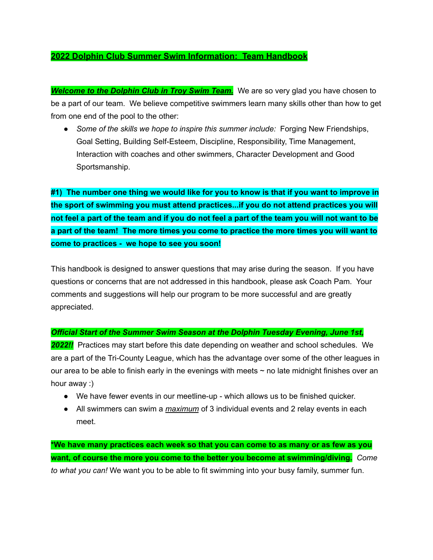### **2022 Dolphin Club Summer Swim Information: Team Handbook**

*Welcome to the Dolphin Club in Troy Swim Team.* We are so very glad you have chosen to be a part of our team. We believe competitive swimmers learn many skills other than how to get from one end of the pool to the other:

● *Some of the skills we hope to inspire this summer include:* Forging New Friendships, Goal Setting, Building Self-Esteem, Discipline, Responsibility, Time Management, Interaction with coaches and other swimmers, Character Development and Good Sportsmanship.

#1) The number one thing we would like for you to know is that if you want to improve in **the sport of swimming you must attend practices...if you do not attend practices you will** not feel a part of the team and if you do not feel a part of the team you will not want to be **a part of the team! The more times you come to practice the more times you will want to come to practices - we hope to see you soon!**

This handbook is designed to answer questions that may arise during the season. If you have questions or concerns that are not addressed in this handbook, please ask Coach Pam. Your comments and suggestions will help our program to be more successful and are greatly appreciated.

### *Official Start of the Summer Swim Season at the Dolphin Tuesday Evening, June 1st,*

**2022!!** Practices may start before this date depending on weather and school schedules. We are a part of the Tri-County League, which has the advantage over some of the other leagues in our area to be able to finish early in the evenings with meets  $\sim$  no late midnight finishes over an hour away :)

- We have fewer events in our meetline-up which allows us to be finished quicker.
- All swimmers can swim a *maximum* of 3 individual events and 2 relay events in each meet.

**\*We have many practices each week so that you can come to as many or as few as you want, of course the more you come to the better you become at swimming/diving.** *Come to what you can!* We want you to be able to fit swimming into your busy family, summer fun.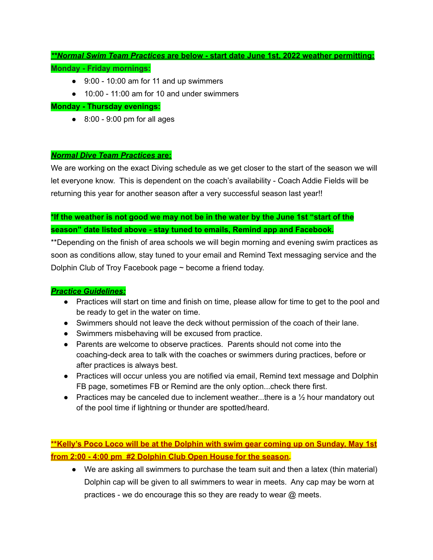## *\*\*Normal Swim Team Practices* **are below - start date June 1st, 2022 weather permitting: Monday - Friday mornings:**

- 9:00 10:00 am for 11 and up swimmers
- 10:00 11:00 am for 10 and under swimmers

### **Monday - Thursday evenings:**

 $\bullet$  8:00 - 9:00 pm for all ages

### *Normal Dive Team Practices* **are:**

We are working on the exact Diving schedule as we get closer to the start of the season we will let everyone know. This is dependent on the coach's availability - Coach Addie Fields will be returning this year for another season after a very successful season last year!!

## **\*If the weather is not good we may not be in the water by the June 1st "start of the season" date listed above - stay tuned to emails, Remind app and Facebook.**

\*\*Depending on the finish of area schools we will begin morning and evening swim practices as soon as conditions allow, stay tuned to your email and Remind Text messaging service and the Dolphin Club of Troy Facebook page ~ become a friend today.

### *Practice Guidelines:*

- Practices will start on time and finish on time, please allow for time to get to the pool and be ready to get in the water on time.
- Swimmers should not leave the deck without permission of the coach of their lane.
- Swimmers misbehaving will be excused from practice.
- Parents are welcome to observe practices. Parents should not come into the coaching-deck area to talk with the coaches or swimmers during practices, before or after practices is always best.
- Practices will occur unless you are notified via email, Remind text message and Dolphin FB page, sometimes FB or Remind are the only option...check there first.
- Practices may be canceled due to inclement weather...there is a  $\frac{1}{2}$  hour mandatory out of the pool time if lightning or thunder are spotted/heard.

**\*\*Kelly's Poco Loco will be at the Dolphin with swim gear coming up on Sunday, May 1st from 2:00 - 4:00 pm #2 Dolphin Club Open House for the season.**

● We are asking all swimmers to purchase the team suit and then a latex (thin material) Dolphin cap will be given to all swimmers to wear in meets. Any cap may be worn at practices - we do encourage this so they are ready to wear @ meets.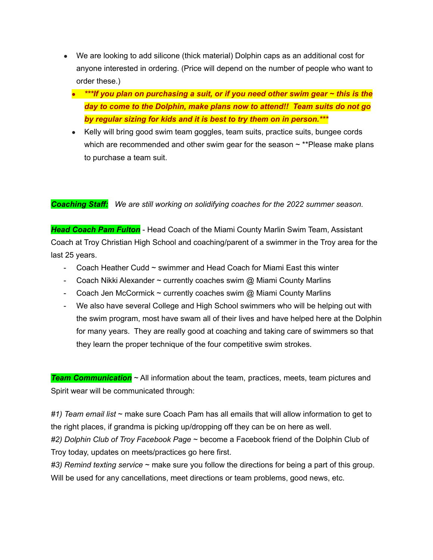- We are looking to add silicone (thick material) Dolphin caps as an additional cost for anyone interested in ordering. (Price will depend on the number of people who want to order these.)
	- *● \*\*\*If you plan on purchasing a suit, or if you need other swim gear ~ this is the day to come to the Dolphin, make plans now to attend!! Team suits do not go by regular sizing for kids and it is best to try them on in person.\*\*\**
	- Kelly will bring good swim team goggles, team suits, practice suits, bungee cords which are recommended and other swim gear for the season  $\sim$  \*\*Please make plans to purchase a team suit.

*Coaching Staff: We are still working on solidifying coaches for the 2022 summer season.*

*Head Coach Pam Fulton* - Head Coach of the Miami County Marlin Swim Team, Assistant Coach at Troy Christian High School and coaching/parent of a swimmer in the Troy area for the last 25 years.

- Coach Heather Cudd  $\sim$  swimmer and Head Coach for Miami East this winter
- Coach Nikki Alexander  $\sim$  currently coaches swim  $\omega$  Miami County Marlins
- Coach Jen McCormick  $\sim$  currently coaches swim  $\omega$  Miami County Marlins
- We also have several College and High School swimmers who will be helping out with the swim program, most have swam all of their lives and have helped here at the Dolphin for many years. They are really good at coaching and taking care of swimmers so that they learn the proper technique of the four competitive swim strokes.

*Team Communication* ~ All information about the team, practices, meets, team pictures and Spirit wear will be communicated through:

*#1) Team email list* ~ make sure Coach Pam has all emails that will allow information to get to the right places, if grandma is picking up/dropping off they can be on here as well.

*#2) Dolphin Club of Troy Facebook Page* ~ become a Facebook friend of the Dolphin Club of Troy today, updates on meets/practices go here first.

*#3) Remind texting service* ~ make sure you follow the directions for being a part of this group. Will be used for any cancellations, meet directions or team problems, good news, etc.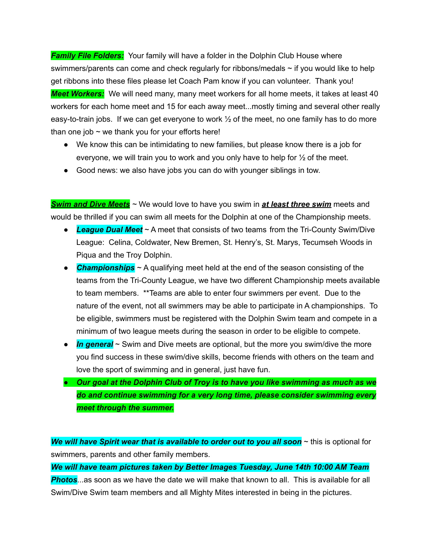*Family File Folders:* Your family will have a folder in the Dolphin Club House where swimmers/parents can come and check regularly for ribbons/medals  $\sim$  if you would like to help get ribbons into these files please let Coach Pam know if you can volunteer. Thank you! *Meet Workers:* We will need many, many meet workers for all home meets, it takes at least 40 workers for each home meet and 15 for each away meet...mostly timing and several other really easy-to-train jobs. If we can get everyone to work  $\frac{1}{2}$  of the meet, no one family has to do more than one job  $\sim$  we thank you for your efforts here!

- We know this can be intimidating to new families, but please know there is a job for everyone, we will train you to work and you only have to help for  $\frac{1}{2}$  of the meet.
- Good news: we also have jobs you can do with younger siblings in tow.

*Swim and Dive Meets ~* We would love to have you swim in *at least three swim* meets and would be thrilled if you can swim all meets for the Dolphin at one of the Championship meets.

- *League Dual Meet* ~ A meet that consists of two teams from the Tri-County Swim/Dive League: Celina, Coldwater, New Bremen, St. Henry's, St. Marys, Tecumseh Woods in Piqua and the Troy Dolphin.
- *● Championships ~* A qualifying meet held at the end of the season consisting of the teams from the Tri-County League, we have two different Championship meets available to team members. \*\*Teams are able to enter four swimmers per event. Due to the nature of the event, not all swimmers may be able to participate in A championships. To be eligible, swimmers must be registered with the Dolphin Swim team and compete in a minimum of two league meets during the season in order to be eligible to compete.
- *In general* ~ Swim and Dive meets are optional, but the more you swim/dive the more you find success in these swim/dive skills, become friends with others on the team and love the sport of swimming and in general, just have fun.
- *● Our goal at the Dolphin Club of Troy is to have you like swimming as much as we do and continue swimming for a very long time, please consider swimming every meet through the summer.*

*We will have Spirit wear that is available to order out to you all soon* ~ this is optional for swimmers, parents and other family members.

*We will have team pictures taken by Better Images Tuesday, June 14th 10:00 AM Team Photos*...as soon as we have the date we will make that known to all. This is available for all Swim/Dive Swim team members and all Mighty Mites interested in being in the pictures.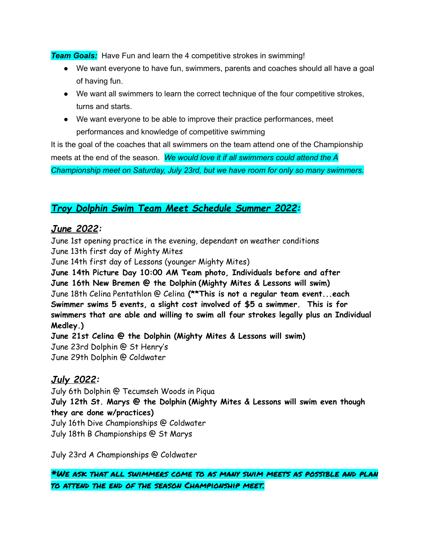*Team Goals:* Have Fun and learn the 4 competitive strokes in swimming!

- We want everyone to have fun, swimmers, parents and coaches should all have a goal of having fun.
- We want all swimmers to learn the correct technique of the four competitive strokes, turns and starts.
- We want everyone to be able to improve their practice performances, meet performances and knowledge of competitive swimming

It is the goal of the coaches that all swimmers on the team attend one of the Championship meets at the end of the season. *We would love it if all swimmers could attend the A Championship meet on Saturday, July 23rd, but we have room for only so many swimmers.*

# *Troy Dolphin Swim Team Meet Schedule Summer 2022:*

## *June 2022:*

June 1st opening practice in the evening, dependant on weather conditions June 13th first day of Mighty Mites

June 14th first day of Lessons (younger Mighty Mites)

**June 14th Picture Day 10:00 AM Team photo, Individuals before and after June 16th New Bremen @ the Dolphin (Mighty Mites & Lessons will swim)** June 18th Celina Pentathlon @ Celina **(\*\*This is not a regular team event...each Swimmer swims 5 events, a slight cost involved of \$5 a swimmer. This is for swimmers that are able and willing to swim all four strokes legally plus an Individual Medley.)**

**June 21st Celina @ the Dolphin (Mighty Mites & Lessons will swim)** June 23rd Dolphin @ St Henry's June 29th Dolphin @ Coldwater

## *July 2022:*

July 6th Dolphin @ Tecumseh Woods in Piqua **July 12th St. Marys @ the Dolphin (Mighty Mites & Lessons will swim even though they are done w/practices)** July 16th Dive Championships @ Coldwater July 18th B Championships @ St Marys

July 23rd A Championships @ Coldwater

\*We ask that all swimmers come to as many swim meets as possible and plan to attend the end of the season Championship meet.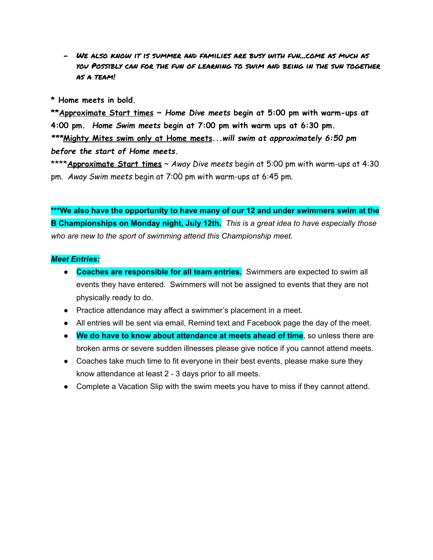- We also know it is summer and families are busy with fun...come as much as you Possibly can for the fun of learning to swim and being in the sun together as a team!

**\* Home meets in bold.**

**\*\*Approximate Start times ~** *Home Dive meets* **begin at 5:00 pm with warm-ups at 4:00 pm.** *Home Swim meets* **begin at 7:00 pm with warm ups at 6:30 pm.** *\*\*\****Mighty Mites swim only at Home meets***...will swim at approximately 6:50 pm before the start of Home meets.*

\*\*\*\***Approximate Start times** ~ *Away Dive meets* begin at 5:00 pm with warm-ups at 4:30 pm. *Away Swim meets* begin at 7:00 pm with warm-ups at 6:45 pm.

**\*\*\*We also have the opportunity to have many of our 12 and under swimmers swim at the B Championships on Monday night, July 12th.** *This is a great idea to have especially those who are new to the sport of swimming attend this Championship meet.*

### *Meet Entries:*

- **● Coaches are responsible for all team entries.** Swimmers are expected to swim all events they have entered. Swimmers will not be assigned to events that they are not physically ready to do.
- Practice attendance may affect a swimmer's placement in a meet.
- All entries will be sent via email, Remind text and Facebook page the day of the meet.
- **We do have to know about attendance at meets ahead of time**, so unless there are broken arms or severe sudden illnesses please give notice if you cannot attend meets.
- Coaches take much time to fit everyone in their best events, please make sure they know attendance at least 2 - 3 days prior to all meets.
- Complete a Vacation Slip with the swim meets you have to miss if they cannot attend.